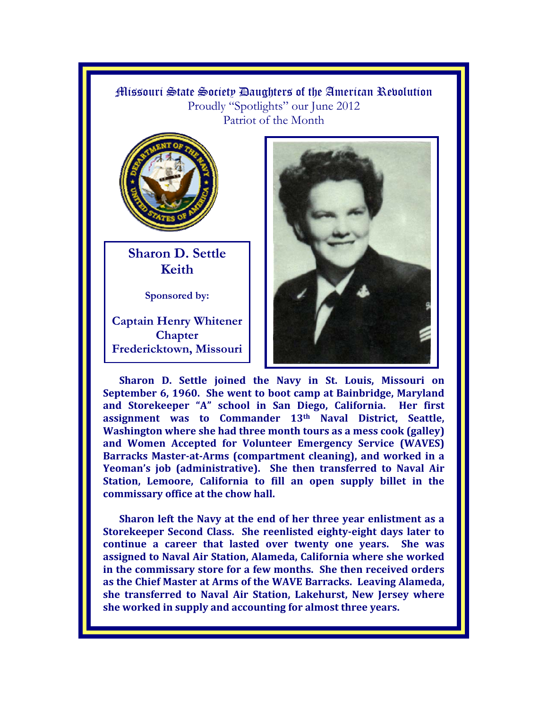## Missouri State Society Daughters of the American Revolution Proudly "Spotlights" our June 2012 Patriot of the Month



**Sharon D. Settle Keith** 

**Sponsored by:** 

**Captain Henry Whitener Chapter Fredericktown, Missouri**



**Sharon D. Settle joined the Navy in St. Louis, Missouri on September 6, 1960. She went to boot camp at Bainbridge, Maryland and Storekeeper "A" school in San Diego, California. Her first assignment was to Commander 13th Naval District, Seattle, Washington where she had three month tours as a mess cook (galley) and Women Accepted for Volunteer Emergency Service (WAVES) Barracks Master-at-Arms (compartment cleaning), and worked in a Yeoman's job (administrative). She then transferred to Naval Air Station, Lemoore, California to fill an open supply billet in the commissary office at the chow hall.** 

**Sharon left the Navy at the end of her three year enlistment as a Storekeeper Second Class. She reenlisted eighty-eight days later to continue a career that lasted over twenty one years. She was assigned to Naval Air Station, Alameda, California where she worked in the commissary store for a few months. She then received orders as the Chief Master at Arms of the WAVE Barracks. Leaving Alameda, she transferred to Naval Air Station, Lakehurst, New Jersey where she worked in supply and accounting for almost three years.**